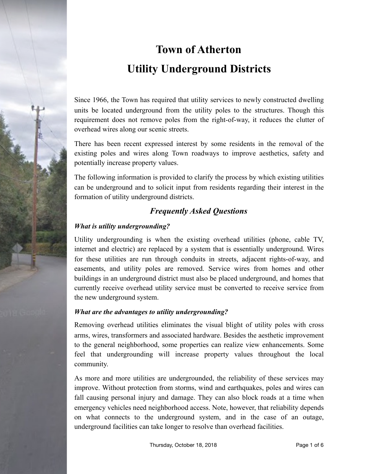

# **Town of Atherton Utility Underground Districts**

Since 1966, the Town has required that utility services to newly constructed dwelling units be located underground from the utility poles to the structures. Though this requirement does not remove poles from the right-of-way, it reduces the clutter of overhead wires along our scenic streets.

There has been recent expressed interest by some residents in the removal of the existing poles and wires along Town roadways to improve aesthetics, safety and potentially increase property values.

The following information is provided to clarify the process by which existing utilities can be underground and to solicit input from residents regarding their interest in the formation of utility underground districts.

# *Frequently Asked Questions*

# *What is utility undergrounding?*

Utility undergrounding is when the existing overhead utilities (phone, cable TV, internet and electric) are replaced by a system that is essentially underground. Wires for these utilities are run through conduits in streets, adjacent rights-of-way, and easements, and utility poles are removed. Service wires from homes and other buildings in an underground district must also be placed underground, and homes that currently receive overhead utility service must be converted to receive service from the new underground system.

### *What are the advantages to utility undergrounding?*

Removing overhead utilities eliminates the visual blight of utility poles with cross arms, wires, transformers and associated hardware. Besides the aesthetic improvement to the general neighborhood, some properties can realize view enhancements. Some feel that undergrounding will increase property values throughout the local community.

As more and more utilities are undergrounded, the reliability of these services may improve. Without protection from storms, wind and earthquakes, poles and wires can fall causing personal injury and damage. They can also block roads at a time when emergency vehicles need neighborhood access. Note, however, that reliability depends on what connects to the underground system, and in the case of an outage, underground facilities can take longer to resolve than overhead facilities.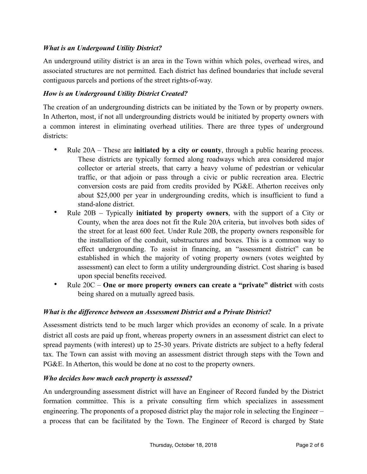#### *What is an Undergound Utility District?*

An underground utility district is an area in the Town within which poles, overhead wires, and associated structures are not permitted. Each district has defined boundaries that include several contiguous parcels and portions of the street rights-of-way.

#### *How is an Underground Utility District Created?*

The creation of an undergrounding districts can be initiated by the Town or by property owners. In Atherton, most, if not all undergrounding districts would be initiated by property owners with a common interest in eliminating overhead utilities. There are three types of underground districts:

- Rule 20A These are **initiated by a city or county**, through a public hearing process. These districts are typically formed along roadways which area considered major collector or arterial streets, that carry a heavy volume of pedestrian or vehicular traffic, or that adjoin or pass through a civic or public recreation area. Electric conversion costs are paid from credits provided by PG&E. Atherton receives only about \$25,000 per year in undergrounding credits, which is insufficient to fund a stand-alone district.
- Rule 20B Typically **initiated by property owners**, with the support of a City or County, when the area does not fit the Rule 20A criteria, but involves both sides of the street for at least 600 feet. Under Rule 20B, the property owners responsible for the installation of the conduit, substructures and boxes. This is a common way to effect undergrounding. To assist in financing, an "assessment district" can be established in which the majority of voting property owners (votes weighted by assessment) can elect to form a utility undergrounding district. Cost sharing is based upon special benefits received.
- Rule 20C **One or more property owners can create a "private" district** with costs being shared on a mutually agreed basis.

#### *What is the difference between an Assessment District and a Private District?*

Assessment districts tend to be much larger which provides an economy of scale. In a private district all costs are paid up front, whereas property owners in an assessment district can elect to spread payments (with interest) up to 25-30 years. Private districts are subject to a hefty federal tax. The Town can assist with moving an assessment district through steps with the Town and PG&E. In Atherton, this would be done at no cost to the property owners.

#### *Who decides how much each property is assessed?*

An undergrounding assessment district will have an Engineer of Record funded by the District formation committee. This is a private consulting firm which specializes in assessment engineering. The proponents of a proposed district play the major role in selecting the Engineer – a process that can be facilitated by the Town. The Engineer of Record is charged by State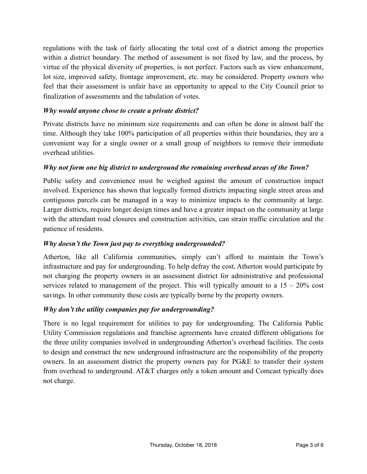regulations with the task of fairly allocating the total cost of a district among the properties within a district boundary. The method of assessment is not fixed by law, and the process, by virtue of the physical diversity of properties, is not perfect. Factors such as view enhancement, lot size, improved safety, frontage improvement, etc. may be considered. Property owners who feel that their assessment is unfair have an opportunity to appeal to the City Council prior to finalization of assessments and the tabulation of votes.

#### *Why would anyone chose to create a private district?*

Private districts have no minimum size requirements and can often be done in almost half the time. Although they take 100% participation of all properties within their boundaries, they are a convenient way for a single owner or a small group of neighbors to remove their immediate overhead utilities.

#### *Why not form one big district to underground the remaining overhead areas of the Town?*

Public safety and convenience must be weighed against the amount of construction impact involved. Experience has shown that logically formed districts impacting single street areas and contiguous parcels can be managed in a way to minimize impacts to the community at large. Larger districts, require longer design times and have a greater impact on the community at large with the attendant road closures and construction activities, can strain traffic circulation and the patience of residents.

#### *Why doesn't the Town just pay to everything undergrounded?*

Atherton, like all California communities, simply can't afford to maintain the Town's infrastructure and pay for undergrounding. To help defray the cost, Atherton would participate by not charging the property owners in an assessment district for administrative and professional services related to management of the project. This will typically amount to a  $15 - 20\%$  cost savings. In other community these costs are typically borne by the property owners.

#### *Why don't the utility companies pay for undergrounding?*

There is no legal requirement for utilities to pay for undergrounding. The California Public Utility Commission regulations and franchise agreements have created different obligations for the three utility companies involved in undergrounding Atherton's overhead facilities. The costs to design and construct the new underground infrastructure are the responsibility of the property owners. In an assessment district the property owners pay for PG&E to transfer their system from overhead to underground. AT&T charges only a token amount and Comcast typically does not charge.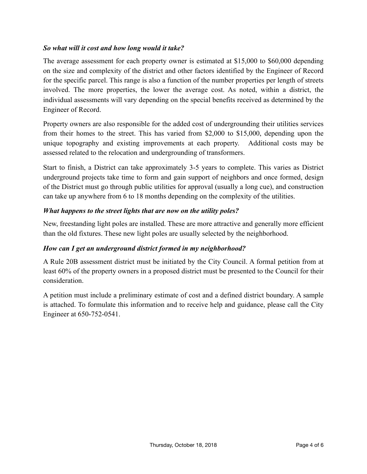#### *So what will it cost and how long would it take?*

The average assessment for each property owner is estimated at \$15,000 to \$60,000 depending on the size and complexity of the district and other factors identified by the Engineer of Record for the specific parcel. This range is also a function of the number properties per length of streets involved. The more properties, the lower the average cost. As noted, within a district, the individual assessments will vary depending on the special benefits received as determined by the Engineer of Record.

Property owners are also responsible for the added cost of undergrounding their utilities services from their homes to the street. This has varied from \$2,000 to \$15,000, depending upon the unique topography and existing improvements at each property. Additional costs may be assessed related to the relocation and undergrounding of transformers.

Start to finish, a District can take approximately 3-5 years to complete. This varies as District underground projects take time to form and gain support of neighbors and once formed, design of the District must go through public utilities for approval (usually a long cue), and construction can take up anywhere from 6 to 18 months depending on the complexity of the utilities.

#### *What happens to the street lights that are now on the utility poles?*

New, freestanding light poles are installed. These are more attractive and generally more efficient than the old fixtures. These new light poles are usually selected by the neighborhood.

#### *How can I get an underground district formed in my neighborhood?*

A Rule 20B assessment district must be initiated by the City Council. A formal petition from at least 60% of the property owners in a proposed district must be presented to the Council for their consideration.

A petition must include a preliminary estimate of cost and a defined district boundary. A sample is attached. To formulate this information and to receive help and guidance, please call the City Engineer at 650-752-0541.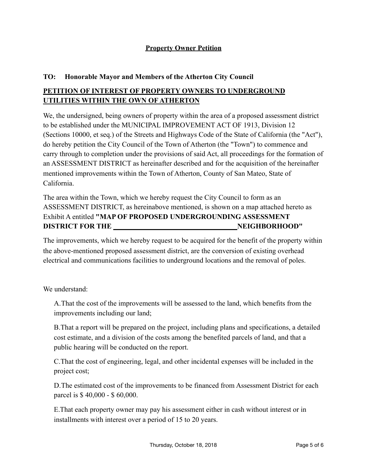#### **Property Owner Petition**

#### **TO: Honorable Mayor and Members of the Atherton City Council**

# **PETITION OF INTEREST OF PROPERTY OWNERS TO UNDERGROUND UTILITIES WITHIN THE OWN OF ATHERTON**

We, the undersigned, being owners of property within the area of a proposed assessment district to be established under the MUNICIPAL IMPROVEMENT ACT OF 1913, Division 12 (Sections 10000, et seq.) of the Streets and Highways Code of the State of California (the "Act"), do hereby petition the City Council of the Town of Atherton (the "Town") to commence and carry through to completion under the provisions of said Act, all proceedings for the formation of an ASSESSMENT DISTRICT as hereinafter described and for the acquisition of the hereinafter mentioned improvements within the Town of Atherton, County of San Mateo, State of California.

The area within the Town, which we hereby request the City Council to form as an ASSESSMENT DISTRICT, as hereinabove mentioned, is shown on a map attached hereto as Exhibit A entitled **"MAP OF PROPOSED UNDERGROUNDING ASSESSMENT DISTRICT FOR THE NEIGHBORHOOD"** 

The improvements, which we hereby request to be acquired for the benefit of the property within the above-mentioned proposed assessment district, are the conversion of existing overhead electrical and communications facilities to underground locations and the removal of poles.

We understand:

A.That the cost of the improvements will be assessed to the land, which benefits from the improvements including our land;

B.That a report will be prepared on the project, including plans and specifications, a detailed cost estimate, and a division of the costs among the benefited parcels of land, and that a public hearing will be conducted on the report.

C.That the cost of engineering, legal, and other incidental expenses will be included in the project cost;

D.The estimated cost of the improvements to be financed from Assessment District for each parcel is \$ 40,000 - \$ 60,000.

E.That each property owner may pay his assessment either in cash without interest or in installments with interest over a period of 15 to 20 years.